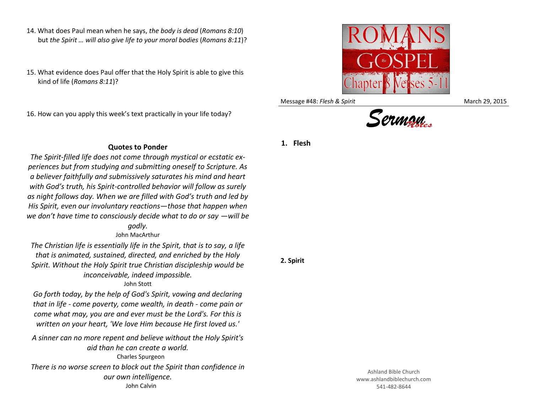- 14. What does Paul mean when he says, *the body is dead* (*Romans 8:10*) but *the Spirit … will also give life to your moral bodies* (*Romans 8:11*)?
- 15. What evidence does Paul offer that the Holy Spirit is able to give this kind of life (*Romans 8:11*)?

16. How can you apply this week's text practically in your life today?

**Quotes to Ponder**

*The Spirit-filled life does not come through mystical or ecstatic experiences but from studying and submitting oneself to Scripture. As a believer faithfully and submissively saturates his mind and heart with God's truth, his Spirit-controlled behavior will follow as surely as night follows day. When we are filled with God's truth and led by His Spirit, even our involuntary reactions—those that happen when we don't have time to consciously decide what to do or say —will be* 

*godly.*

## John MacArthur

*The Christian life is essentially life in the Spirit, that is to say, a life that is animated, sustained, directed, and enriched by the Holy Spirit. Without the Holy Spirit true Christian discipleship would be inconceivable, indeed impossible.*

John Stott

*Go forth today, by the help of God's Spirit, vowing and declaring that in life - come poverty, come wealth, in death - come pain or come what may, you are and ever must be the Lord's. For this is written on your heart, 'We love Him because He first loved us.'*

*A sinner can no more repent and believe without the Holy Spirit's aid than he can create a world.* Charles Spurgeon *There is no worse screen to block out the Spirit than confidence in our own intelligence.* John Calvin





Message #48: *Flesh & Spirit* March 29, 2015





**2. Spirit**

Ashland Bible Church www.ashlandbiblechurch.com 541-482-8644